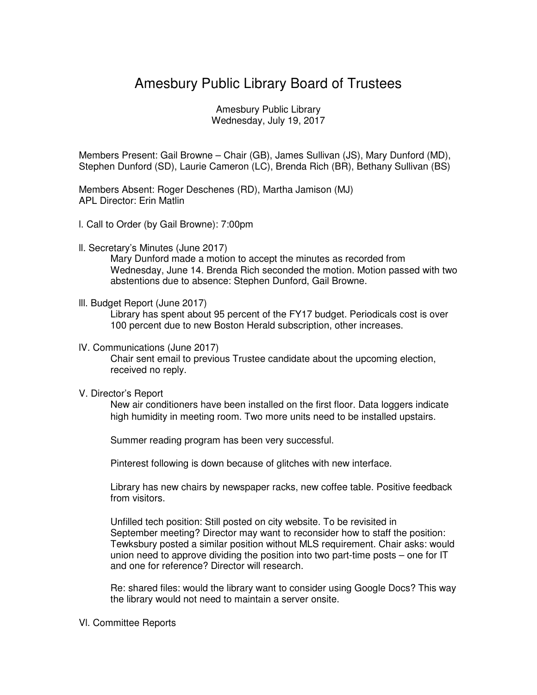# Amesbury Public Library Board of Trustees

Amesbury Public Library Wednesday, July 19, 2017

Members Present: Gail Browne – Chair (GB), James Sullivan (JS), Mary Dunford (MD), Stephen Dunford (SD), Laurie Cameron (LC), Brenda Rich (BR), Bethany Sullivan (BS)

Members Absent: Roger Deschenes (RD), Martha Jamison (MJ) APL Director: Erin Matlin

- l. Call to Order (by Gail Browne): 7:00pm
- ll. Secretary's Minutes (June 2017)

Mary Dunford made a motion to accept the minutes as recorded from Wednesday, June 14. Brenda Rich seconded the motion. Motion passed with two abstentions due to absence: Stephen Dunford, Gail Browne.

lll. Budget Report (June 2017)

Library has spent about 95 percent of the FY17 budget. Periodicals cost is over 100 percent due to new Boston Herald subscription, other increases.

lV. Communications (June 2017)

Chair sent email to previous Trustee candidate about the upcoming election, received no reply.

V. Director's Report

New air conditioners have been installed on the first floor. Data loggers indicate high humidity in meeting room. Two more units need to be installed upstairs.

Summer reading program has been very successful.

Pinterest following is down because of glitches with new interface.

Library has new chairs by newspaper racks, new coffee table. Positive feedback from visitors.

Unfilled tech position: Still posted on city website. To be revisited in September meeting? Director may want to reconsider how to staff the position: Tewksbury posted a similar position without MLS requirement. Chair asks: would union need to approve dividing the position into two part-time posts – one for IT and one for reference? Director will research.

Re: shared files: would the library want to consider using Google Docs? This way the library would not need to maintain a server onsite.

## Vl. Committee Reports